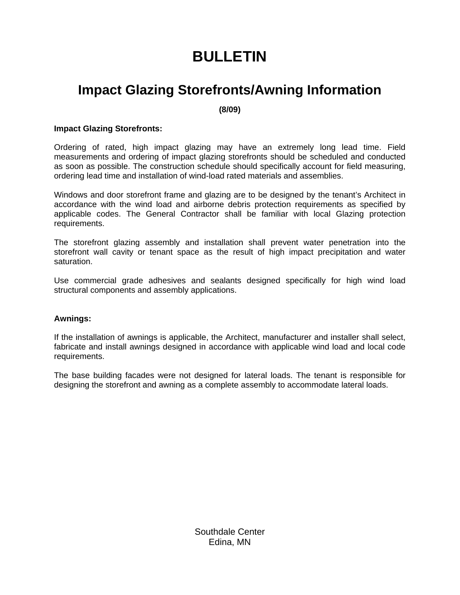# **BULLETIN**

### **Impact Glazing Storefronts/Awning Information**

**(8/09)** 

#### **Impact Glazing Storefronts:**

Ordering of rated, high impact glazing may have an extremely long lead time. Field measurements and ordering of impact glazing storefronts should be scheduled and conducted as soon as possible. The construction schedule should specifically account for field measuring, ordering lead time and installation of wind-load rated materials and assemblies.

Windows and door storefront frame and glazing are to be designed by the tenant's Architect in accordance with the wind load and airborne debris protection requirements as specified by applicable codes. The General Contractor shall be familiar with local Glazing protection requirements.

The storefront glazing assembly and installation shall prevent water penetration into the storefront wall cavity or tenant space as the result of high impact precipitation and water saturation.

Use commercial grade adhesives and sealants designed specifically for high wind load structural components and assembly applications.

#### **Awnings:**

If the installation of awnings is applicable, the Architect, manufacturer and installer shall select, fabricate and install awnings designed in accordance with applicable wind load and local code requirements.

The base building facades were not designed for lateral loads. The tenant is responsible for designing the storefront and awning as a complete assembly to accommodate lateral loads.

> Southdale Center Edina, MN